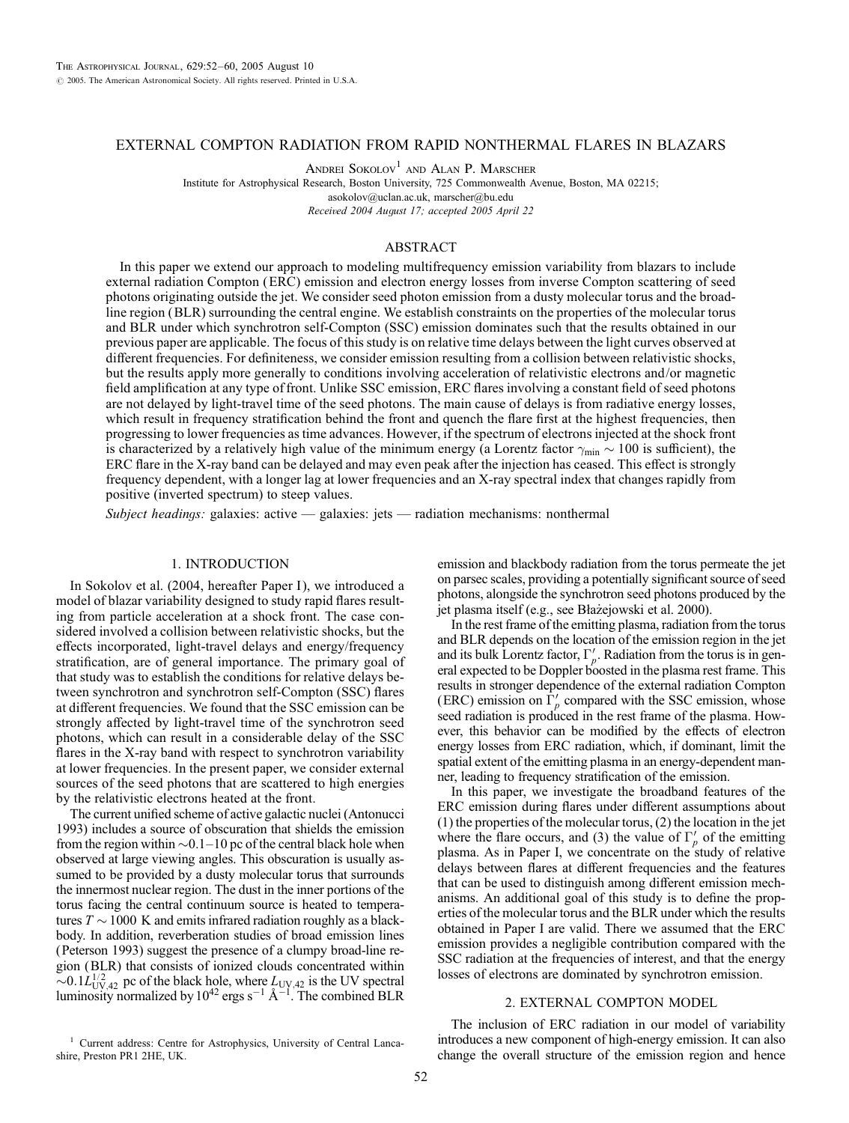# EXTERNAL COMPTON RADIATION FROM RAPID NONTHERMAL FLARES IN BLAZARS

ANDREI SOKOLOV<sup>1</sup> AND ALAN P. MARSCHER

Institute for Astrophysical Research, Boston University, 725 Commonwealth Avenue, Boston, MA 02215;

asokolov@uclan.ac.uk, marscher@bu.edu

Received 2004 August 17; accepted 2005 April 22

# ABSTRACT

In this paper we extend our approach to modeling multifrequency emission variability from blazars to include external radiation Compton (ERC) emission and electron energy losses from inverse Compton scattering of seed photons originating outside the jet. We consider seed photon emission from a dusty molecular torus and the broadline region (BLR) surrounding the central engine. We establish constraints on the properties of the molecular torus and BLR under which synchrotron self-Compton (SSC) emission dominates such that the results obtained in our previous paper are applicable. The focus of this study is on relative time delays between the light curves observed at different frequencies. For definiteness, we consider emission resulting from a collision between relativistic shocks, but the results apply more generally to conditions involving acceleration of relativistic electrons and/or magnetic field amplification at any type of front. Unlike SSC emission, ERC flares involving a constant field of seed photons are not delayed by light-travel time of the seed photons. The main cause of delays is from radiative energy losses, which result in frequency stratification behind the front and quench the flare first at the highest frequencies, then progressing to lower frequencies as time advances. However, if the spectrum of electrons injected at the shock front is characterized by a relatively high value of the minimum energy (a Lorentz factor  $\gamma_{min} \sim 100$  is sufficient), the ERC flare in the X-ray band can be delayed and may even peak after the injection has ceased. This effect is strongly frequency dependent, with a longer lag at lower frequencies and an X-ray spectral index that changes rapidly from positive (inverted spectrum) to steep values.

Subject headings: galaxies: active — galaxies: jets — radiation mechanisms: nonthermal

# 1. INTRODUCTION

In Sokolov et al. (2004, hereafter Paper I), we introduced a model of blazar variability designed to study rapid flares resulting from particle acceleration at a shock front. The case considered involved a collision between relativistic shocks, but the effects incorporated, light-travel delays and energy/frequency stratification, are of general importance. The primary goal of that study was to establish the conditions for relative delays between synchrotron and synchrotron self-Compton (SSC) flares at different frequencies. We found that the SSC emission can be strongly affected by light-travel time of the synchrotron seed photons, which can result in a considerable delay of the SSC flares in the X-ray band with respect to synchrotron variability at lower frequencies. In the present paper, we consider external sources of the seed photons that are scattered to high energies by the relativistic electrons heated at the front.

The current unified scheme of active galactic nuclei (Antonucci 1993) includes a source of obscuration that shields the emission from the region within  $\sim 0.1-10$  pc of the central black hole when observed at large viewing angles. This obscuration is usually assumed to be provided by a dusty molecular torus that surrounds the innermost nuclear region. The dust in the inner portions of the torus facing the central continuum source is heated to temperatures  $T \sim 1000$  K and emits infrared radiation roughly as a blackbody. In addition, reverberation studies of broad emission lines (Peterson 1993) suggest the presence of a clumpy broad-line region (BLR) that consists of ionized clouds concentrated within ~0.1 $L_{UV,42}^{1/2}$  pc of the black hole, where  $L_{UV,42}$  is the UV spectral luminosity normalized by  $10^{42}$  ergs s<sup>-1</sup> Å<sup>-1</sup>. The combined BLR

emission and blackbody radiation from the torus permeate the jet on parsec scales, providing a potentially significant source of seed photons, alongside the synchrotron seed photons produced by the jet plasma itself (e.g., see Błażejowski et al. 2000).

In the rest frame of the emitting plasma, radiation from the torus and BLR depends on the location of the emission region in the jet and its bulk Lorentz factor,  $\Gamma_p'$ . Radiation from the torus is in general expected to be Doppler boosted in the plasma rest frame. This results in stronger dependence of the external radiation Compton (ERC) emission on  $\hat{\Gamma}_p'$  compared with the SSC emission, whose seed radiation is produced in the rest frame of the plasma. However, this behavior can be modified by the effects of electron energy losses from ERC radiation, which, if dominant, limit the spatial extent of the emitting plasma in an energy-dependent manner, leading to frequency stratification of the emission.

In this paper, we investigate the broadband features of the ERC emission during flares under different assumptions about (1) the properties of the molecular torus, (2) the location in the jet where the flare occurs, and (3) the value of  $\Gamma'_p$  of the emitting plasma. As in Paper I, we concentrate on the study of relative delays between flares at different frequencies and the features that can be used to distinguish among different emission mechanisms. An additional goal of this study is to define the properties of the molecular torus and the BLR under which the results obtained in Paper I are valid. There we assumed that the ERC emission provides a negligible contribution compared with the SSC radiation at the frequencies of interest, and that the energy losses of electrons are dominated by synchrotron emission.

#### 2. EXTERNAL COMPTON MODEL

The inclusion of ERC radiation in our model of variability introduces a new component of high-energy emission. It can also change the overall structure of the emission region and hence

<sup>&</sup>lt;sup>1</sup> Current address: Centre for Astrophysics, University of Central Lancashire, Preston PR1 2HE, UK.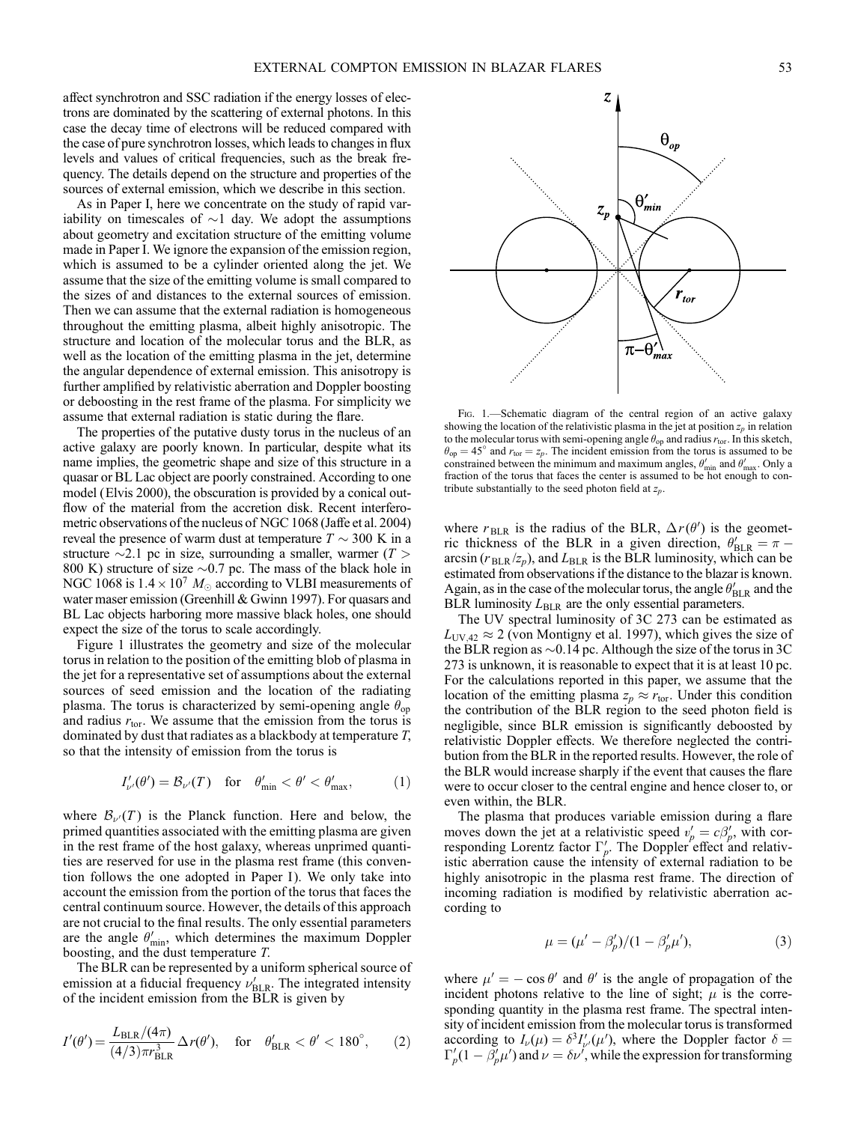affect synchrotron and SSC radiation if the energy losses of electrons are dominated by the scattering of external photons. In this case the decay time of electrons will be reduced compared with the case of pure synchrotron losses, which leads to changes in flux levels and values of critical frequencies, such as the break frequency. The details depend on the structure and properties of the sources of external emission, which we describe in this section.

As in Paper I, here we concentrate on the study of rapid variability on timescales of  $\sim$ 1 day. We adopt the assumptions about geometry and excitation structure of the emitting volume made in Paper I. We ignore the expansion of the emission region, which is assumed to be a cylinder oriented along the jet. We assume that the size of the emitting volume is small compared to the sizes of and distances to the external sources of emission. Then we can assume that the external radiation is homogeneous throughout the emitting plasma, albeit highly anisotropic. The structure and location of the molecular torus and the BLR, as well as the location of the emitting plasma in the jet, determine the angular dependence of external emission. This anisotropy is further amplified by relativistic aberration and Doppler boosting or deboosting in the rest frame of the plasma. For simplicity we assume that external radiation is static during the flare.

The properties of the putative dusty torus in the nucleus of an active galaxy are poorly known. In particular, despite what its name implies, the geometric shape and size of this structure in a quasar or BL Lac object are poorly constrained. According to one model (Elvis 2000), the obscuration is provided by a conical outflow of the material from the accretion disk. Recent interferometric observations of the nucleus of NGC 1068 (Jaffe et al. 2004) reveal the presence of warm dust at temperature  $T \sim 300 \text{ K}$  in a structure  $\sim$ 2.1 pc in size, surrounding a smaller, warmer (T > 800 K) structure of size  $\sim$ 0.7 pc. The mass of the black hole in NGC 1068 is  $1.4 \times 10^7$   $M_{\odot}$  according to VLBI measurements of water maser emission (Greenhill & Gwinn 1997). For quasars and BL Lac objects harboring more massive black holes, one should expect the size of the torus to scale accordingly.

Figure 1 illustrates the geometry and size of the molecular torus in relation to the position of the emitting blob of plasma in the jet for a representative set of assumptions about the external sources of seed emission and the location of the radiating plasma. The torus is characterized by semi-opening angle  $\theta_{op}$ and radius  $r_{\text{tor}}$ . We assume that the emission from the torus is dominated by dust that radiates as a blackbody at temperature T, so that the intensity of emission from the torus is

$$
I'_{\nu'}(\theta') = \mathcal{B}_{\nu'}(T) \quad \text{for} \quad \theta'_{\min} < \theta' < \theta'_{\max},\tag{1}
$$

where  $\mathcal{B}_{\nu}(T)$  is the Planck function. Here and below, the primed quantities associated with the emitting plasma are given in the rest frame of the host galaxy, whereas unprimed quantities are reserved for use in the plasma rest frame (this convention follows the one adopted in Paper I). We only take into account the emission from the portion of the torus that faces the central continuum source. However, the details of this approach are not crucial to the final results. The only essential parameters are the angle  $\theta'_{\min}$ , which determines the maximum Doppler boosting, and the dust temperature T.

The BLR can be represented by a uniform spherical source of emission at a fiducial frequency  $\nu'_{BLR}$ . The integrated intensity of the incident emission from the BLR is given by

$$
I'(\theta') = \frac{L_{\rm BLR}/(4\pi)}{(4/3)\pi r_{\rm BLR}^3} \Delta r(\theta'), \quad \text{for} \quad \theta'_{\rm BLR} < \theta' < 180^\circ, \tag{2}
$$



Fig. 1.—Schematic diagram of the central region of an active galaxy showing the location of the relativistic plasma in the jet at position  $z_p$  in relation to the molecular torus with semi-opening angle  $\theta_{op}$  and radius  $r_{tor}$ . In this sketch,  $\theta_{\rm op} = 45^\circ$  and  $r_{\rm tor} = z_p$ . The incident emission from the torus is assumed to be constrained between the minimum and maximum angles,  $\theta'_{\text{min}}$  and  $\theta'_{\text{max}}$ . Only a fraction of the torus that faces the center is assumed to be hot enough to contribute substantially to the seed photon field at  $z_p$ .

where  $r_{BLR}$  is the radius of the BLR,  $\Delta r(\theta')$  is the geometric thickness of the BLR in a given direction,  $\theta'_{BLR} = \pi$  arcsin ( $r_{BLR}/z_p$ ), and  $L_{BLR}$  is the BLR luminosity, which can be estimated from observations if the distance to the blazar is known. Again, as in the case of the molecular torus, the angle  $\theta'_{\rm BLR}$  and the BLR luminosity  $L_{BLR}$  are the only essential parameters.

The UV spectral luminosity of 3C 273 can be estimated as  $L_{UV,42} \approx 2$  (von Montigny et al. 1997), which gives the size of the BLR region as  $\sim 0.14$  pc. Although the size of the torus in 3C 273 is unknown, it is reasonable to expect that it is at least 10 pc. For the calculations reported in this paper, we assume that the location of the emitting plasma  $z_p \approx r_{\text{tor}}$ . Under this condition the contribution of the BLR region to the seed photon field is negligible, since BLR emission is significantly deboosted by relativistic Doppler effects. We therefore neglected the contribution from the BLR in the reported results. However, the role of the BLR would increase sharply if the event that causes the flare were to occur closer to the central engine and hence closer to, or even within, the BLR.

The plasma that produces variable emission during a flare moves down the jet at a relativistic speed  $v'_p = c\beta'_p$ , with corresponding Lorentz factor  $\Gamma'_p$ . The Doppler effect and relativistic aberration cause the intensity of external radiation to be highly anisotropic in the plasma rest frame. The direction of incoming radiation is modified by relativistic aberration according to

$$
\mu = (\mu' - \beta_p')/(1 - \beta_p'\mu'),\tag{3}
$$

where  $\mu' = -\cos \theta'$  and  $\theta'$  is the angle of propagation of the incident photons relative to the line of sight;  $\mu$  is the corresponding quantity in the plasma rest frame. The spectral intensity of incident emission from the molecular torus is transformed according to  $I_{\nu}(\mu) = \delta^3 I'_{\nu'}(\mu')$ , where the Doppler factor  $\delta =$  $\Gamma_p'(1 - \tilde{\beta}_p' \mu')$  and  $\nu = \delta \nu'$ , while the expression for transforming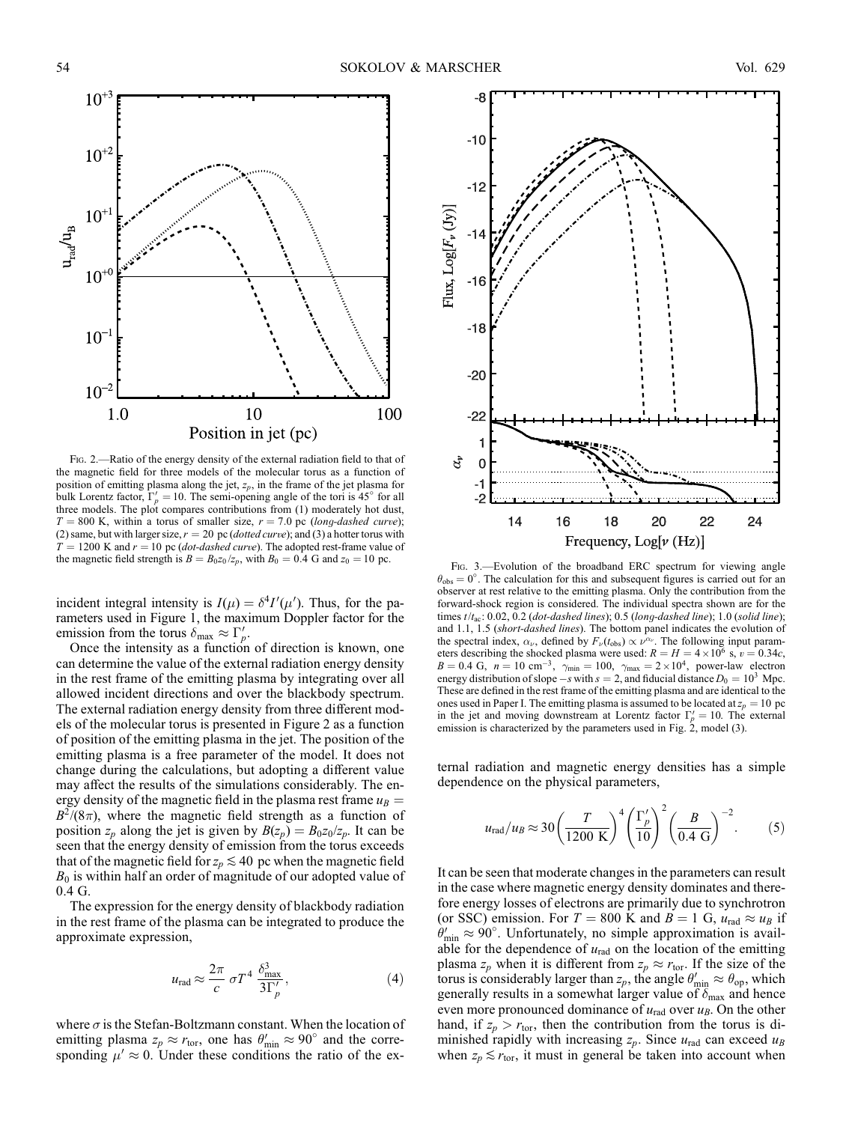

Fig. 2.—Ratio of the energy density of the external radiation field to that of the magnetic field for three models of the molecular torus as a function of position of emitting plasma along the jet,  $z_p$ , in the frame of the jet plasma for bulk Lorentz factor,  $\Gamma_p' = 10$ . The semi-opening angle of the tori is 45° for all three models. The plot compares contributions from  $(1)$  moderately hot dust,  $T = 800$  K, within a torus of smaller size,  $r = 7.0$  pc (long-dashed curve); (2) same, but with larger size,  $r = 20$  pc (dotted curve); and (3) a hotter torus with  $T = 1200$  K and  $r = 10$  pc (dot-dashed curve). The adopted rest-frame value of the magnetic field strength is  $B = B_0 z_0 / z_p$ , with  $B_0 = 0.4$  G and  $z_0 = 10$  pc.<br>Fig. 3.—Evolution of the broadband ERC spectrum for viewing angle

incident integral intensity is  $I(\mu) = \delta^4 I'(\mu')$ . Thus, for the parameters used in Figure 1, the maximum Doppler factor for the emission from the torus  $\delta_{\text{max}} \approx \Gamma_p'$ .

Once the intensity as a function of direction is known, one can determine the value of the external radiation energy density in the rest frame of the emitting plasma by integrating over all allowed incident directions and over the blackbody spectrum. The external radiation energy density from three different models of the molecular torus is presented in Figure 2 as a function of position of the emitting plasma in the jet. The position of the emitting plasma is a free parameter of the model. It does not change during the calculations, but adopting a different value may affect the results of the simulations considerably. The energy density of the magnetic field in the plasma rest frame  $u_B =$  $B^2/(8\pi)$ , where the magnetic field strength as a function of position  $z_p$  along the jet is given by  $B(z_p) = B_0 z_0 / z_p$ . It can be seen that the energy density of emission from the torus exceeds that of the magnetic field for  $z_p \lesssim 40\,$  pc when the magnetic field  $B_0$  is within half an order of magnitude of our adopted value of 0.4 G.

The expression for the energy density of blackbody radiation in the rest frame of the plasma can be integrated to produce the approximate expression,

$$
u_{\rm rad} \approx \frac{2\pi}{c} \sigma T^4 \frac{\delta_{\rm max}^3}{3\Gamma_p'},\tag{4}
$$

where  $\sigma$  is the Stefan-Boltzmann constant. When the location of emitting plasma  $z_p \approx r_{\text{tor}}$ , one has  $\theta'_{\text{min}} \approx 90^{\circ}$  and the corresponding  $\mu' \approx 0$ . Under these conditions the ratio of the ex-



 $\theta_{\rm obs} = 0^{\circ}$ . The calculation for this and subsequent figures is carried out for an observer at rest relative to the emitting plasma. Only the contribution from the forward-shock region is considered. The individual spectra shown are for the times  $t/t_{ac}$ : 0.02, 0.2 (dot-dashed lines); 0.5 (long-dashed line); 1.0 (solid line); and 1.1, 1.5 (short-dashed lines). The bottom panel indicates the evolution of the spectral index,  $\alpha_{\nu}$ , defined by  $F_{\nu}(t_{\rm obs}) \propto \nu^{\alpha_{\nu}}$ . The following input parameters describing the shocked plasma were used:  $R = H = 4 \times 10^6$  s,  $v = 0.34c$ ,  $B = 0.4$  G,  $n = 10$  cm<sup>-3</sup>,  $\gamma_{min} = 100$ ,  $\gamma_{max} = 2 \times 10^4$ , power-law electron energy distribution of slope  $-s$  with  $s = 2$ , and fiducial distance  $D_0 = 10^3$  Mpc. These are defined in the rest frame of the emitting plasma and are identical to the ones used in Paper I. The emitting plasma is assumed to be located at  $z_p = 10$  pc in the jet and moving downstream at Lorentz factor  $\Gamma'_p = 10$ . The external emission is characterized by the parameters used in Fig. 2, model (3).

ternal radiation and magnetic energy densities has a simple dependence on the physical parameters,

$$
u_{\rm rad}/u_B \approx 30 \left(\frac{T}{1200 \text{ K}}\right)^4 \left(\frac{\Gamma_p'}{10}\right)^2 \left(\frac{B}{0.4 \text{ G}}\right)^{-2}.\tag{5}
$$

It can be seen that moderate changes in the parameters can result in the case where magnetic energy density dominates and therefore energy losses of electrons are primarily due to synchrotron (or SSC) emission. For  $T = 800$  K and  $B = 1$  G,  $u_{rad} \approx u_B$  if  $\hat{\theta}_{\min}^{\prime} \approx 90^{\circ}$ . Unfortunately, no simple approximation is available for the dependence of  $u_{rad}$  on the location of the emitting plasma  $z_p$  when it is different from  $z_p \approx r_{\text{tor}}$ . If the size of the torus is considerably larger than  $z_p$ , the angle  $\theta'_{\min} \approx \theta_{\text{op}}$ , which generally results in a somewhat larger value of  $\delta_{\text{max}}$  and hence even more pronounced dominance of  $u_{rad}$  over  $u_B$ . On the other hand, if  $z_p > r_{\text{tor}}$ , then the contribution from the torus is diminished rapidly with increasing  $z_p$ . Since  $u_{rad}$  can exceed  $u_B$ when  $z_p \lesssim r_{\text{tor}}$ , it must in general be taken into account when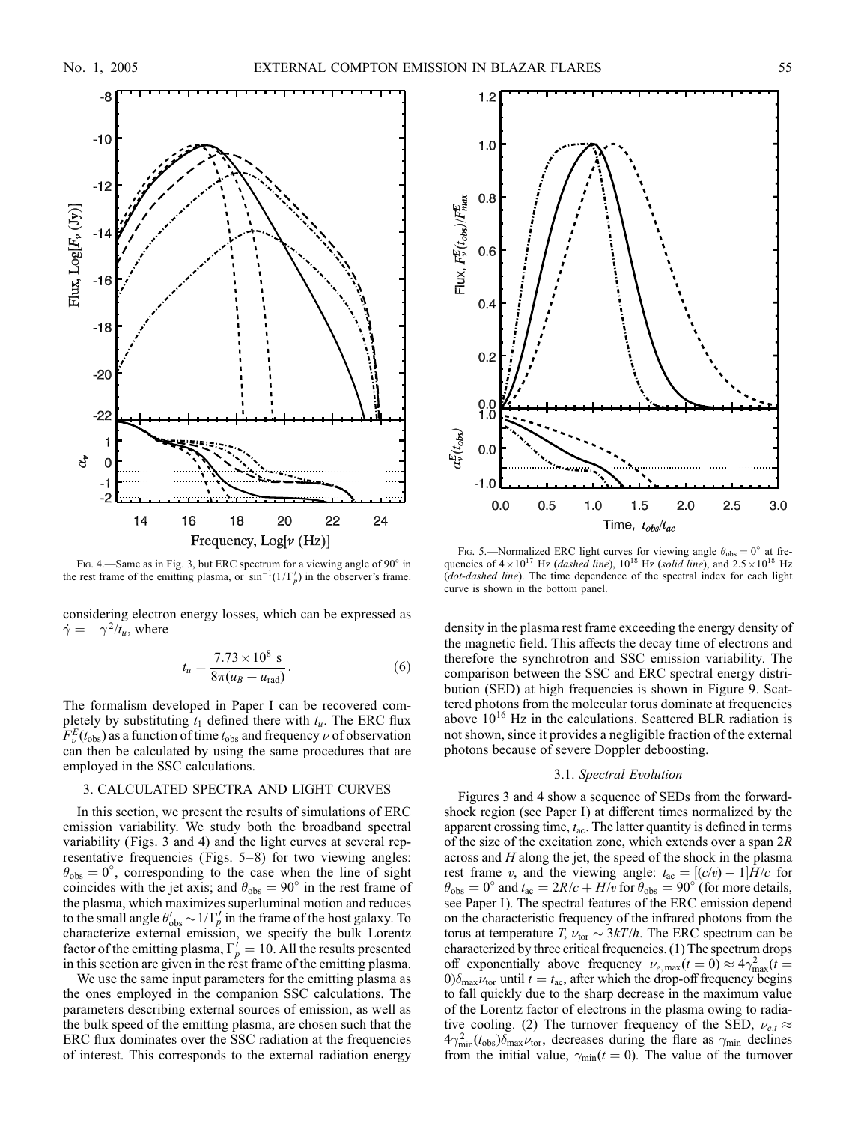

FIG. 4.—Same as in Fig. 3, but ERC spectrum for a viewing angle of 90° in the rest frame of the emitting plasma, or  $\sin^{-1}(1/\Gamma_p')$  in the observer's frame.

considering electron energy losses, which can be expressed as  $\dot{\gamma} = -\gamma^2/t_u$ , where

$$
t_u = \frac{7.73 \times 10^8 \text{ s}}{8\pi (u_B + u_{\text{rad}})}.
$$
 (6)

The formalism developed in Paper I can be recovered completely by substituting  $t_1$  defined there with  $t_u$ . The ERC flux  $F_{\nu}^{E}(t_{\rm obs})$  as a function of time  $t_{\rm obs}$  and frequency  $\nu$  of observation can then be calculated by using the same procedures that are employed in the SSC calculations.

#### 3. CALCULATED SPECTRA AND LIGHT CURVES

In this section, we present the results of simulations of ERC emission variability. We study both the broadband spectral variability (Figs. 3 and 4) and the light curves at several representative frequencies ( Figs. 5–8) for two viewing angles:  $\theta_{\rm obs} = 0^{\circ}$ , corresponding to the case when the line of sight coincides with the jet axis; and  $\theta_{obs} = 90^\circ$  in the rest frame of the plasma, which maximizes superluminal motion and reduces to the small angle  $\theta'_{obs} \sim 1/\Gamma'_p$  in the frame of the host galaxy. To characterize external emission, we specify the bulk Lorentz factor of the emitting plasma,  $\Gamma_p' = 10$ . All the results presented in this section are given in the rest frame of the emitting plasma.

We use the same input parameters for the emitting plasma as the ones employed in the companion SSC calculations. The parameters describing external sources of emission, as well as the bulk speed of the emitting plasma, are chosen such that the ERC flux dominates over the SSC radiation at the frequencies of interest. This corresponds to the external radiation energy



FIG. 5.—Normalized ERC light curves for viewing angle  $\theta_{obs} = 0^{\circ}$  at frequencies of  $4 \times 10^{17}$  Hz (dashed line),  $10^{18}$  Hz (solid line), and  $2.5 \times 10^{18}$  Hz (dot-dashed line). The time dependence of the spectral index for each light curve is shown in the bottom panel.

density in the plasma rest frame exceeding the energy density of the magnetic field. This affects the decay time of electrons and therefore the synchrotron and SSC emission variability. The comparison between the SSC and ERC spectral energy distribution (SED) at high frequencies is shown in Figure 9. Scattered photons from the molecular torus dominate at frequencies above  $10^{16}$  Hz in the calculations. Scattered BLR radiation is not shown, since it provides a negligible fraction of the external photons because of severe Doppler deboosting.

# 3.1. Spectral Evolution

Figures 3 and 4 show a sequence of SEDs from the forwardshock region (see Paper I) at different times normalized by the apparent crossing time,  $t_{ac}$ . The latter quantity is defined in terms of the size of the excitation zone, which extends over a span 2R across and  $H$  along the jet, the speed of the shock in the plasma rest frame v, and the viewing angle:  $t_{\text{ac}} = [(c/v) - 1]H/c$  for  $\theta_{\rm obs} = 0^{\circ}$  and  $t_{\rm ac} = 2R/c + H/v$  for  $\theta_{\rm obs} = 90^{\circ}$  (for more details, see Paper I). The spectral features of the ERC emission depend on the characteristic frequency of the infrared photons from the torus at temperature T,  $v_{\text{tor}} \sim 3kT/h$ . The ERC spectrum can be characterized by three critical frequencies. (1) The spectrum drops off exponentially above frequency  $\nu_{e,\text{max}}(t=0) \approx 4\gamma_{\text{max}}^2(t=$  $0$ ) $\delta_{\text{max}}\nu_{\text{tor}}$  until  $t = t_{\text{ac}}$ , after which the drop-off frequency begins to fall quickly due to the sharp decrease in the maximum value of the Lorentz factor of electrons in the plasma owing to radiative cooling. (2) The turnover frequency of the SED,  $\nu_{e,t} \approx$  $4\gamma_{\min}^2(t_{obs})\delta_{\max}\nu_{\text{tor}}$ , decreases during the flare as  $\gamma_{\min}$  declines from the initial value,  $\gamma_{\text{min}}(t = 0)$ . The value of the turnover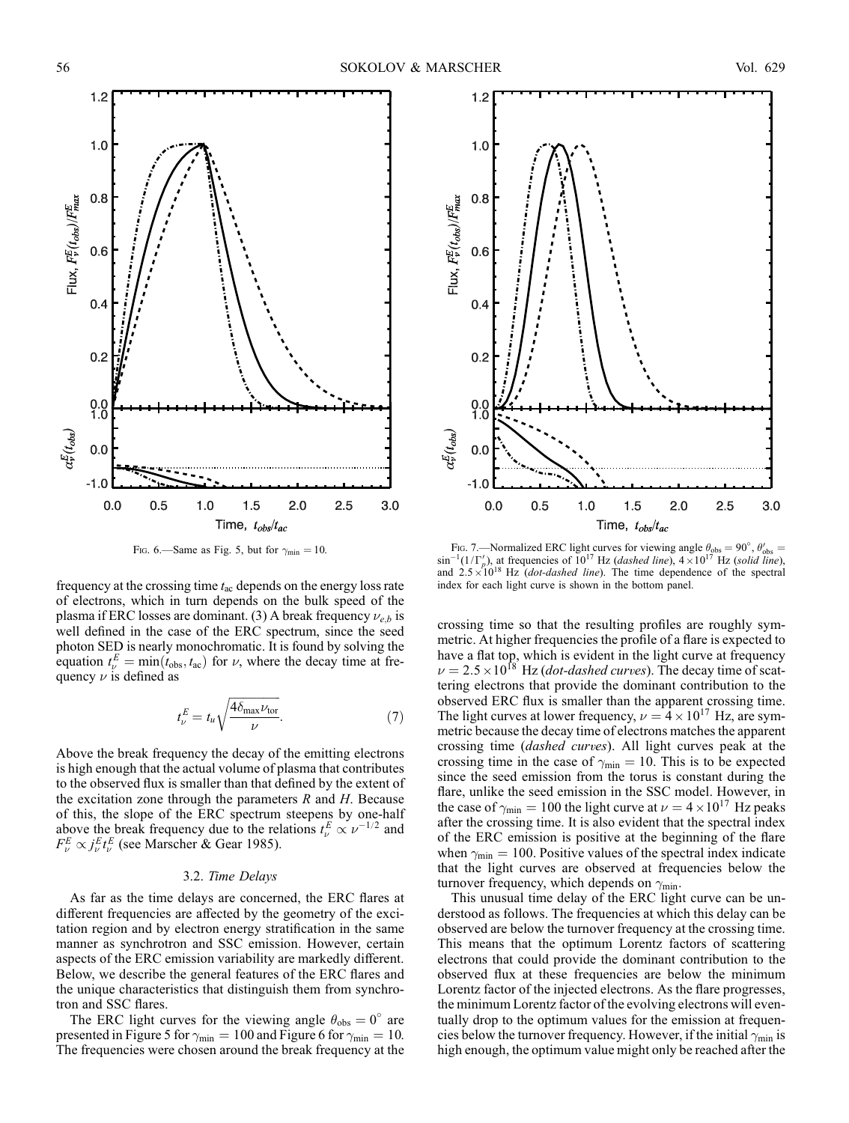

frequency at the crossing time  $t_{ac}$  depends on the energy loss rate of electrons, which in turn depends on the bulk speed of the plasma if ERC losses are dominant. (3) A break frequency  $\nu_{e,b}$  is well defined in the case of the ERC spectrum, since the seed photon SED is nearly monochromatic. It is found by solving the equation  $t_{\nu}^{E} = \min(t_{obs}, t_{ac})$  for  $\nu$ , where the decay time at frequency  $\nu$  is defined as

$$
t_{\nu}^{E} = t_{u} \sqrt{\frac{4 \delta_{\max} \nu_{\text{tor}}}{\nu}}.
$$
 (7)

Above the break frequency the decay of the emitting electrons is high enough that the actual volume of plasma that contributes to the observed flux is smaller than that defined by the extent of the excitation zone through the parameters  $R$  and  $H$ . Because of this, the slope of the ERC spectrum steepens by one-half above the break frequency due to the relations  $t_{\nu}^{E} \propto \nu^{-1/2}$  and  $F_{\nu}^{E} \propto j_{\nu}^{E} t_{\nu}^{E}$  (see Marscher & Gear 1985).

# 3.2. Time Delays

As far as the time delays are concerned, the ERC flares at different frequencies are affected by the geometry of the excitation region and by electron energy stratification in the same manner as synchrotron and SSC emission. However, certain aspects of the ERC emission variability are markedly different. Below, we describe the general features of the ERC flares and the unique characteristics that distinguish them from synchrotron and SSC flares.

The ERC light curves for the viewing angle  $\theta_{obs} = 0^{\circ}$  are presented in Figure 5 for  $\gamma_{\text{min}} = 100$  and Figure 6 for  $\gamma_{\text{min}} = 10$ . The frequencies were chosen around the break frequency at the



Fig. 6.—Same as Fig. 5, but for  $\gamma_{\text{min}} = 10$ .<br>
Fig. 7.—Normalized ERC light curves for viewing angle  $\theta_{\text{obs}} = 90^{\circ}$ ,  $\theta'_{\text{obs}} = \sin^{-1}(1/\Gamma'_p)$ , at frequencies of  $10^{17}$  Hz (dashed line),  $4 \times 10^{17}$  Hz (solid line) and  $2.5 \times 10^{18}$  Hz (dot-dashed line). The time dependence of the spectral index for each light curve is shown in the bottom panel.

crossing time so that the resulting profiles are roughly symmetric. At higher frequencies the profile of a flare is expected to have a flat top, which is evident in the light curve at frequency  $\nu = 2.5 \times 10^{18}$  Hz (dot-dashed curves). The decay time of scattering electrons that provide the dominant contribution to the observed ERC flux is smaller than the apparent crossing time. The light curves at lower frequency,  $\nu = 4 \times 10^{17}$  Hz, are symmetric because the decay time of electrons matches the apparent crossing time (dashed curves). All light curves peak at the crossing time in the case of  $\gamma_{\text{min}} = 10$ . This is to be expected since the seed emission from the torus is constant during the flare, unlike the seed emission in the SSC model. However, in the case of  $\gamma_{\text{min}} = 100$  the light curve at  $\nu = 4 \times 10^{17}$  Hz peaks after the crossing time. It is also evident that the spectral index of the ERC emission is positive at the beginning of the flare when  $\gamma_{\text{min}} = 100$ . Positive values of the spectral index indicate that the light curves are observed at frequencies below the turnover frequency, which depends on  $\gamma_{\rm min}$ .

This unusual time delay of the ERC light curve can be understood as follows. The frequencies at which this delay can be observed are below the turnover frequency at the crossing time. This means that the optimum Lorentz factors of scattering electrons that could provide the dominant contribution to the observed flux at these frequencies are below the minimum Lorentz factor of the injected electrons. As the flare progresses, the minimum Lorentz factor of the evolving electrons will eventually drop to the optimum values for the emission at frequencies below the turnover frequency. However, if the initial  $\gamma_{\text{min}}$  is high enough, the optimum value might only be reached after the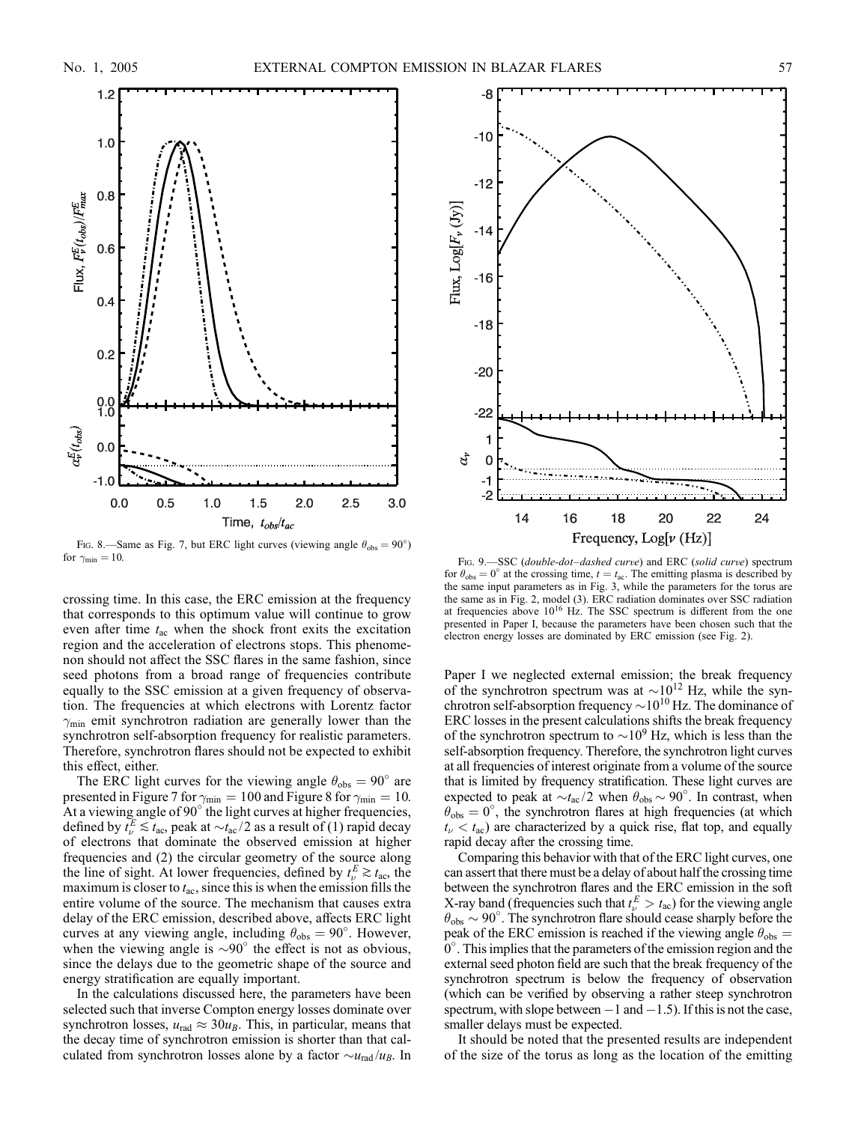

FIG. 8.—Same as Fig. 7, but ERC light curves (viewing angle  $\theta_{obs} = 90^{\circ}$ ) for  $\gamma_{\text{min}} = 10$ .<br>Fig. 9.—SSC (double-dot-dashed curve) and ERC (solid curve) spectrum

crossing time. In this case, the ERC emission at the frequency that corresponds to this optimum value will continue to grow even after time  $t_{ac}$  when the shock front exits the excitation region and the acceleration of electrons stops. This phenomenon should not affect the SSC flares in the same fashion, since seed photons from a broad range of frequencies contribute equally to the SSC emission at a given frequency of observation. The frequencies at which electrons with Lorentz factor  $\gamma_{\rm min}$  emit synchrotron radiation are generally lower than the synchrotron self-absorption frequency for realistic parameters. Therefore, synchrotron flares should not be expected to exhibit this effect, either.

The ERC light curves for the viewing angle  $\theta_{obs} = 90^{\circ}$  are presented in Figure 7 for  $\gamma_{\text{min}} = 100$  and Figure 8 for  $\gamma_{\text{min}} = 10$ . At a viewing angle of  $90^\circ$  the light curves at higher frequencies, defined by  $t_{\nu}^{E} \lesssim t_{\text{ac}}$ , peak at  $\sim t_{\text{ac}}/2$  as a result of (1) rapid decay of electrons that dominate the observed emission at higher frequencies and (2) the circular geometry of the source along the line of sight. At lower frequencies, defined by  $t_{\nu}^{E} \gtrsim t_{\text{ac}}$ , the maximum is closer to  $t_{ac}$ , since this is when the emission fills the entire volume of the source. The mechanism that causes extra delay of the ERC emission, described above, affects ERC light curves at any viewing angle, including  $\theta_{obs} = 90^\circ$ . However, when the viewing angle is  $\sim 90^\circ$  the effect is not as obvious, since the delays due to the geometric shape of the source and energy stratification are equally important.

In the calculations discussed here, the parameters have been selected such that inverse Compton energy losses dominate over synchrotron losses,  $u_{rad} \approx 30u_B$ . This, in particular, means that the decay time of synchrotron emission is shorter than that calculated from synchrotron losses alone by a factor  $\sim u_{rad}/u_B$ . In



for  $\theta_{obs} = 0^{\circ}$  at the crossing time,  $t = t_{ac}$ . The emitting plasma is described by the same input parameters as in Fig. 3, while the parameters for the torus are the same as in Fig. 2, model (3). ERC radiation dominates over SSC radiation at frequencies above 10<sup>16</sup> Hz. The SSC spectrum is different from the one presented in Paper I, because the parameters have been chosen such that the electron energy losses are dominated by ERC emission (see Fig. 2).

Paper I we neglected external emission; the break frequency of the synchrotron spectrum was at  $\sim 10^{12}$  Hz, while the synchrotron self-absorption frequency  $\sim$  10<sup>10</sup> Hz. The dominance of ERC losses in the present calculations shifts the break frequency of the synchrotron spectrum to  $\sim 10^9$  Hz, which is less than the self-absorption frequency. Therefore, the synchrotron light curves at all frequencies of interest originate from a volume of the source that is limited by frequency stratification. These light curves are expected to peak at  $\sim t_{\text{ac}}/2$  when  $\theta_{\text{obs}} \sim 90^{\circ}$ . In contrast, when  $\theta_{\rm obs} = 0^{\circ}$ , the synchrotron flares at high frequencies (at which  $t_{\nu} < t_{\rm ac}$ ) are characterized by a quick rise, flat top, and equally rapid decay after the crossing time.

Comparing this behavior with that of the ERC light curves, one can assert that there must be a delay of about half the crossing time between the synchrotron flares and the ERC emission in the soft X-ray band (frequencies such that  $t_{\nu}^{E} > t_{\text{ac}}$ ) for the viewing angle  $\theta_{\rm obs} \sim 90^{\circ}$ . The synchrotron flare should cease sharply before the peak of the ERC emission is reached if the viewing angle  $\theta_{obs} =$  $\overline{0}^{\circ}$ . This implies that the parameters of the emission region and the external seed photon field are such that the break frequency of the synchrotron spectrum is below the frequency of observation (which can be verified by observing a rather steep synchrotron spectrum, with slope between  $-1$  and  $-1.5$ ). If this is not the case, smaller delays must be expected.

It should be noted that the presented results are independent of the size of the torus as long as the location of the emitting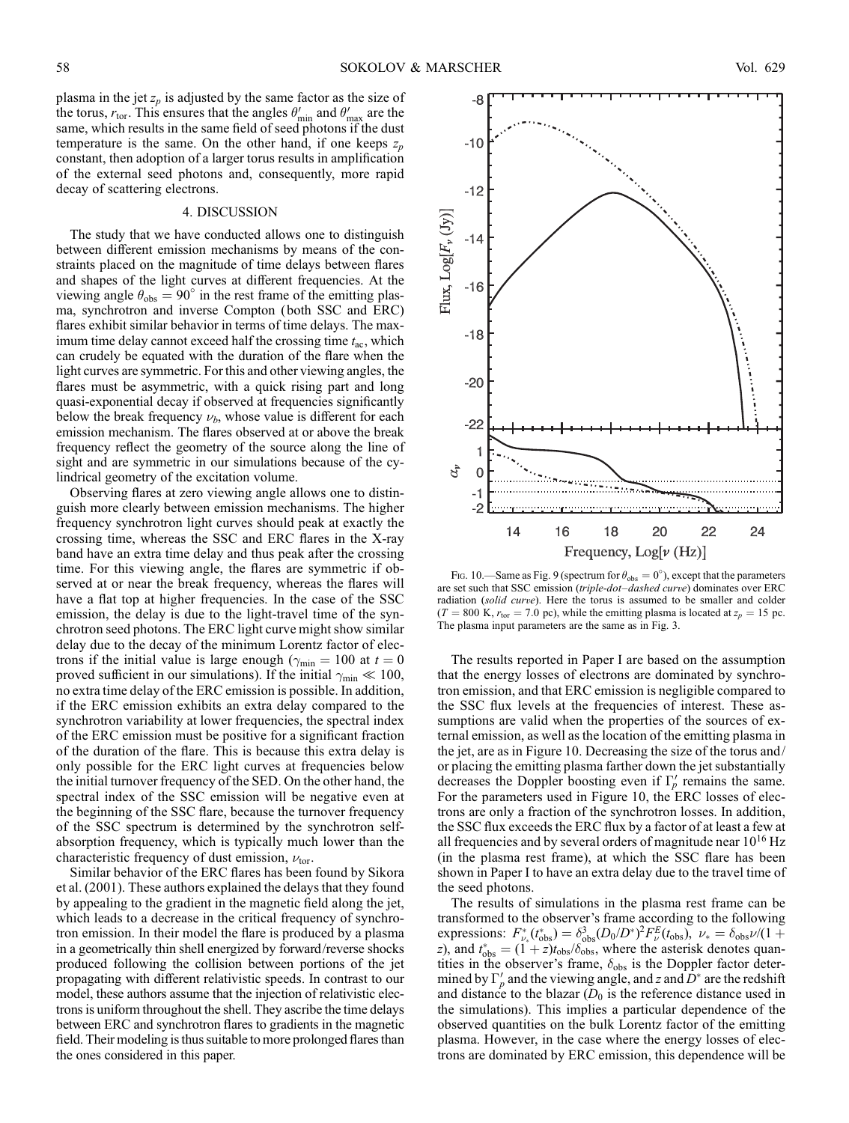plasma in the jet  $z_p$  is adjusted by the same factor as the size of the torus,  $r_{\text{tor}}$ . This ensures that the angles  $\theta'_{\text{min}}$  and  $\theta'_{\text{max}}$  are the same, which results in the same field of seed photons if the dust temperature is the same. On the other hand, if one keeps  $z_p$ constant, then adoption of a larger torus results in amplification of the external seed photons and, consequently, more rapid decay of scattering electrons.

#### 4. DISCUSSION

The study that we have conducted allows one to distinguish between different emission mechanisms by means of the constraints placed on the magnitude of time delays between flares and shapes of the light curves at different frequencies. At the viewing angle  $\theta_{obs} = 90^{\circ}$  in the rest frame of the emitting plasma, synchrotron and inverse Compton (both SSC and ERC) flares exhibit similar behavior in terms of time delays. The maximum time delay cannot exceed half the crossing time  $t_{\text{ac}}$ , which can crudely be equated with the duration of the flare when the light curves are symmetric. For this and other viewing angles, the flares must be asymmetric, with a quick rising part and long quasi-exponential decay if observed at frequencies significantly below the break frequency  $\nu_b$ , whose value is different for each emission mechanism. The flares observed at or above the break frequency reflect the geometry of the source along the line of sight and are symmetric in our simulations because of the cylindrical geometry of the excitation volume.

Observing flares at zero viewing angle allows one to distinguish more clearly between emission mechanisms. The higher frequency synchrotron light curves should peak at exactly the crossing time, whereas the SSC and ERC flares in the X-ray band have an extra time delay and thus peak after the crossing time. For this viewing angle, the flares are symmetric if observed at or near the break frequency, whereas the flares will have a flat top at higher frequencies. In the case of the SSC emission, the delay is due to the light-travel time of the synchrotron seed photons. The ERC light curve might show similar delay due to the decay of the minimum Lorentz factor of electrons if the initial value is large enough ( $\gamma_{\text{min}} = 100$  at  $t = 0$ ) proved sufficient in our simulations). If the initial  $\gamma_{\text{min}} \ll 100$ , no extra time delay of the ERC emission is possible. In addition, if the ERC emission exhibits an extra delay compared to the synchrotron variability at lower frequencies, the spectral index of the ERC emission must be positive for a significant fraction of the duration of the flare. This is because this extra delay is only possible for the ERC light curves at frequencies below the initial turnover frequency of the SED. On the other hand, the spectral index of the SSC emission will be negative even at the beginning of the SSC flare, because the turnover frequency of the SSC spectrum is determined by the synchrotron selfabsorption frequency, which is typically much lower than the characteristic frequency of dust emission,  $\nu_{\text{tor}}$ .

Similar behavior of the ERC flares has been found by Sikora et al. (2001). These authors explained the delays that they found by appealing to the gradient in the magnetic field along the jet, which leads to a decrease in the critical frequency of synchrotron emission. In their model the flare is produced by a plasma in a geometrically thin shell energized by forward/reverse shocks produced following the collision between portions of the jet propagating with different relativistic speeds. In contrast to our model, these authors assume that the injection of relativistic electrons is uniform throughout the shell. They ascribe the time delays between ERC and synchrotron flares to gradients in the magnetic field. Their modeling is thus suitable to more prolonged flares than the ones considered in this paper.



FIG. 10.—Same as Fig. 9 (spectrum for  $\theta_{obs} = 0^{\circ}$ ), except that the parameters are set such that SSC emission (triple-dot–dashed curve) dominates over ERC radiation (solid curve). Here the torus is assumed to be smaller and colder  $(T = 800 \text{ K}, r_{\text{tor}} = 7.0 \text{ pc})$ , while the emitting plasma is located at  $z_p = 15 \text{ pc}$ . The plasma input parameters are the same as in Fig. 3.

The results reported in Paper I are based on the assumption that the energy losses of electrons are dominated by synchrotron emission, and that ERC emission is negligible compared to the SSC flux levels at the frequencies of interest. These assumptions are valid when the properties of the sources of external emission, as well as the location of the emitting plasma in the jet, are as in Figure 10. Decreasing the size of the torus and/ or placing the emitting plasma farther down the jet substantially decreases the Doppler boosting even if  $\Gamma'_p$  remains the same. For the parameters used in Figure 10, the ERC losses of electrons are only a fraction of the synchrotron losses. In addition, the SSC flux exceeds the ERC flux by a factor of at least a few at all frequencies and by several orders of magnitude near  $10^{16}$  Hz (in the plasma rest frame), at which the SSC flare has been shown in Paper I to have an extra delay due to the travel time of the seed photons.

The results of simulations in the plasma rest frame can be transformed to the observer's frame according to the following expressions:  $F_{\nu_*}^*(t_{\text{obs}}^*) = \delta_{\text{obs}}^3 (D_0/D^*)^2 F_{\nu}^E(t_{\text{obs}}), \ \nu_* = \delta_{\text{obs}} \nu / (1 +$ z), and  $t_{\rm obs}^* = (1 + z)t_{\rm obs}/\delta_{\rm obs}$ , where the asterisk denotes quantities in the observer's frame,  $\delta_{\rm obs}$  is the Doppler factor determined by  $\Gamma'_p$  and the viewing angle, and z and  $\hat{D}^*$  are the redshift and distance to the blazar  $(D_0)$  is the reference distance used in the simulations). This implies a particular dependence of the observed quantities on the bulk Lorentz factor of the emitting plasma. However, in the case where the energy losses of electrons are dominated by ERC emission, this dependence will be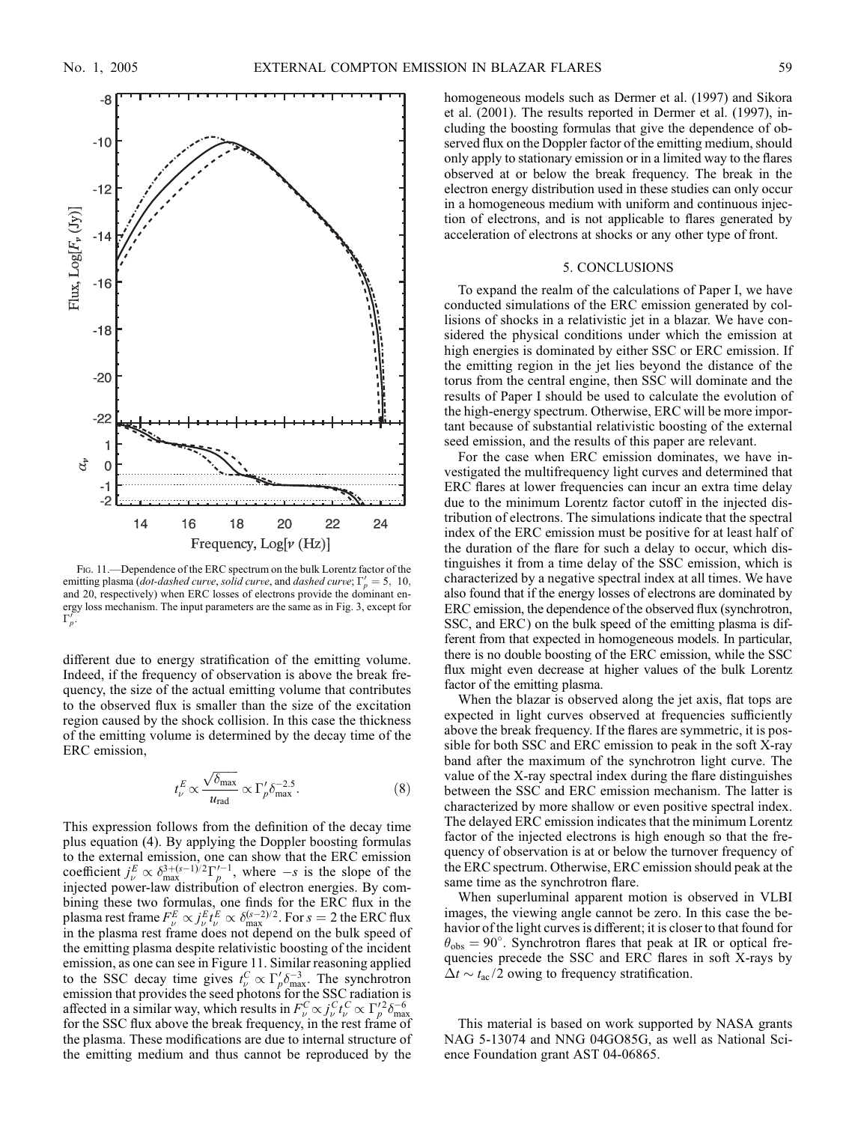

Fig. 11.—Dependence of the ERC spectrum on the bulk Lorentz factor of the emitting plasma (dot-dashed curve, solid curve, and dashed curve;  $\Gamma'_p = 5$ , 10, and 20, respectively) when ERC losses of electrons provide the dominant energy loss mechanism. The input parameters are the same as in Fig. 3, except for  $\Gamma_p^{\prime}$ .

different due to energy stratification of the emitting volume. Indeed, if the frequency of observation is above the break frequency, the size of the actual emitting volume that contributes to the observed flux is smaller than the size of the excitation region caused by the shock collision. In this case the thickness of the emitting volume is determined by the decay time of the ERC emission,

$$
t_{\nu}^{E} \propto \frac{\sqrt{\delta_{\text{max}}}}{u_{\text{rad}}} \propto \Gamma_{p}^{\prime} \delta_{\text{max}}^{-2.5}.
$$
 (8)

This expression follows from the definition of the decay time plus equation (4). By applying the Doppler boosting formulas to the external emission, one can show that the ERC emission coefficient  $j_{\nu}^{E} \propto \delta_{\max}^{3+(s-1)/2} \Gamma_{p}^{\prime -1}$ , where  $-s$  is the slope of the injected power-law distribution of electron energies. By combining these two formulas, one finds for the ERC flux in the plasma rest frame  $F_{\nu}^{E} \propto j_{\nu}^{E} i_{\nu}^{E} \propto \delta_{\max}^{(s-2)/2}$ . For  $s = 2$  the ERC flux in the plasma rest frame does not depend on the bulk speed of the emitting plasma despite relativistic boosting of the incident emission, as one can see in Figure 11. Similar reasoning applied to the SSC decay time gives  $t_{\nu}^C \propto \Gamma_p' \delta_{\text{max}}^{-3}$ . The synchrotron emission that provides the seed photons for the SSC radiation is affected in a similar way, which results in  $F_v^C \propto j_v^C t_v^C \propto \Gamma_p'^2 \delta_{\text{max}}^{-6}$ for the SSC flux above the break frequency, in the rest frame of the plasma. These modifications are due to internal structure of the emitting medium and thus cannot be reproduced by the homogeneous models such as Dermer et al. (1997) and Sikora et al. (2001). The results reported in Dermer et al. (1997), including the boosting formulas that give the dependence of observed flux on the Doppler factor of the emitting medium, should only apply to stationary emission or in a limited way to the flares observed at or below the break frequency. The break in the electron energy distribution used in these studies can only occur in a homogeneous medium with uniform and continuous injection of electrons, and is not applicable to flares generated by acceleration of electrons at shocks or any other type of front.

#### 5. CONCLUSIONS

To expand the realm of the calculations of Paper I, we have conducted simulations of the ERC emission generated by collisions of shocks in a relativistic jet in a blazar. We have considered the physical conditions under which the emission at high energies is dominated by either SSC or ERC emission. If the emitting region in the jet lies beyond the distance of the torus from the central engine, then SSC will dominate and the results of Paper I should be used to calculate the evolution of the high-energy spectrum. Otherwise, ERC will be more important because of substantial relativistic boosting of the external seed emission, and the results of this paper are relevant.

For the case when ERC emission dominates, we have investigated the multifrequency light curves and determined that ERC flares at lower frequencies can incur an extra time delay due to the minimum Lorentz factor cutoff in the injected distribution of electrons. The simulations indicate that the spectral index of the ERC emission must be positive for at least half of the duration of the flare for such a delay to occur, which distinguishes it from a time delay of the SSC emission, which is characterized by a negative spectral index at all times. We have also found that if the energy losses of electrons are dominated by ERC emission, the dependence of the observed flux (synchrotron, SSC, and ERC) on the bulk speed of the emitting plasma is different from that expected in homogeneous models. In particular, there is no double boosting of the ERC emission, while the SSC flux might even decrease at higher values of the bulk Lorentz factor of the emitting plasma.

When the blazar is observed along the jet axis, flat tops are expected in light curves observed at frequencies sufficiently above the break frequency. If the flares are symmetric, it is possible for both SSC and ERC emission to peak in the soft X-ray band after the maximum of the synchrotron light curve. The value of the X-ray spectral index during the flare distinguishes between the SSC and ERC emission mechanism. The latter is characterized by more shallow or even positive spectral index. The delayed ERC emission indicates that the minimum Lorentz factor of the injected electrons is high enough so that the frequency of observation is at or below the turnover frequency of the ERC spectrum. Otherwise, ERC emission should peak at the same time as the synchrotron flare.

When superluminal apparent motion is observed in VLBI images, the viewing angle cannot be zero. In this case the behavior of the light curves is different; it is closer to that found for  $\theta_{\rm obs} = 90^{\circ}$ . Synchrotron flares that peak at IR or optical frequencies precede the SSC and ERC flares in soft X-rays by  $\Delta t \sim t_{\rm ac}/2$  owing to frequency stratification.

This material is based on work supported by NASA grants NAG 5-13074 and NNG 04GO85G, as well as National Science Foundation grant AST 04-06865.